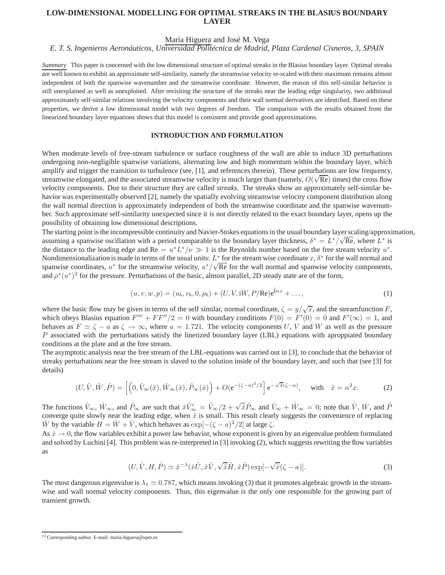# **LOW-DIMENSIONAL MODELLING FOR OPTIMAL STREAKS IN THE BLASIUS BOUNDARY LAYER**

# María Higuera and José M. Vega

*E. T. S. Ingenieros Aeronáuticos, Universidad Politécnica de Madrid, Plaza Cardenal Cisneros, 3, SPAIN*

*Summary* This paper is concerned with the low dimensional structure of optimal streaks in the Blasius boundary layer. Optimal streaks are well known to exhibit an approximate self-similarity, namely the streamwise velocity re-scaled with their maximum remains almost independent of both the spanwise wavenumber and the streamwise coordinate. However, the reason of this self-similar behavior is still unexplained as well as unexploited. After revisiting the structure of the streaks near the leading edge singularity, two additional approximately self-similar relations involving the velocity components and their wall normal derivatives are identified. Based on these properties, we derive a low dimensional model with two degrees of freedom. The comparison with the results obtained from the linearized boundary layer equations shows that this model is consistent and provide good approximations.

# **INTRODUCTION AND FORMULATION**

When moderate levels of free-stream turbulence or surface roughness of the wall are able to induce 3D perturbations undergoing non-negligible spanwise variations, alternating low and high momentum within the boundary layer, which amplify and trigger the transition to turbulence (see, [1], and references therein). These perturbations are low frequency, streamwise elongated, and the associated streamwise velocity is much larger than (namely,  $O(\sqrt{Re})$  times) the cross flow velocity components. Due to their structure they are called *streaks*. The streaks show an approximately self-similar behavior was experimentally observed [2], namely the spatially evolving streamwise velocity component distribution along the wall normal direction is approximately independent of both the streamwise coordinate and the spanwise wavenumber. Such approximate self-similarity unexpected since it is not directly related to the exact boundary layer, opens up the possibility of obtaining low dimensional descriptions.

The starting point is the incompressible continuity and Navier-Stokes equations in the usual boundary layer scaling/approximation, assuming a spanwise oscillation with a period comparable to the boundary layer thickness,  $\delta^* = L^* / \sqrt{\text{Re}}$ , where  $L^*$  is the distance to the leading edge and  $Re = u^* L^* / \nu \gg 1$  is the Reynolds number based on the free stream velocity  $u^*$ . Nondimensionalization is made in terms of the usual units:  $L^*$  for the stream wise coordinate x,  $\delta^*$  for the wall normal and spanwise coordinates,  $u^*$  for the streamwise velocity,  $u^*/\sqrt{Re}$  for the wall normal and spanwise velocity components, and  $\rho^*(u^*)^2$  for the pressure. Perturbations of the basic, almost parallel, 2D steady state are of the form,

$$
(u, v, w, p) = (u_b, v_b, 0, p_b) + (U, V, iW, P/Re)e^{i\alpha z} + ...,
$$
\n(1)

where the basic flow may be given in terms of the self similar, normal coordinate,  $\zeta = y/\sqrt{x}$ , and the streamfunction F, which obeys Blasius equation  $F''' + FF''/2 = 0$  with boundary conditions  $F(0) = F'(0) = 0$  and  $F'(\infty) = 1$ , and behaves as  $F \simeq \zeta - a$  as  $\zeta \to \infty$ , where  $a = 1.721$ . The velocity components U, V and W as well as the pressure  $P$  associated with the perturbations satisfy the linerized boundary layer (LBL) equations with aproppiated boundary conditions at the plate and at the free stream.

The asymptotic analysis near the free stream of the LBL-equations was carried out in [3], to conclude that the behavior of streaky perturbations near the free stream is slaved to the solution inside of the boundary layer, and such that (see [3] for details)

$$
(U, \hat{V}, \hat{W}, \hat{P}) = \left[ \left( 0, \hat{V}_{\infty}(\hat{x}), \hat{W}_{\infty}(\hat{x}), \hat{P}_{\infty}(\hat{x}) \right) + O(e^{-(\zeta - a)^2/2}) \right] e^{-\sqrt{\hat{x}}(\zeta - a)}, \text{ with } \hat{x} = \alpha^2 x. \tag{2}
$$

The functions  $\hat{V}_{\infty}$ ,  $\hat{W}_{\infty}$ , and  $\hat{P}_{\infty}$  are such that  $\hat{x}\hat{V}_{\infty}' = \hat{V}_{\infty}/2 + \sqrt{\hat{x}}\hat{P}_{\infty}$  and  $\hat{V}_{\infty} + \hat{W}_{\infty} = 0$ ; note that  $\hat{V}$ ,  $\hat{W}$ , and  $\hat{P}$ converge quite slowly near the leading edge, when  $\tilde{x}$  is small. This result clearly suggests the convenience of replacing  $\hat{W}$  by the variable  $H = \hat{W} + \hat{V}$ , which behaves as  $\exp[-(\zeta - a)^2/2]$  at large  $\zeta$ .

As  $\hat{x} \to 0$ , the flow variables exhibit a power law behavior, whose exponent is given by an eigenvalue problem formulated and solved by Luchini [4]. This problem was re-interpreted in [3] invoking (2), which suggests rewriting the flow variables as

$$
(U, \hat{V}, H, \hat{P}) \simeq \hat{x}^{-\lambda} (\hat{x}\tilde{U}, \hat{x}\tilde{V}, \sqrt{\hat{x}}\tilde{H}, \hat{x}\tilde{P}) \exp[-\sqrt{\hat{x}}(\zeta - a)].
$$
\n(3)

The most dangerous eigenvalue is  $\lambda_1 \simeq 0.787$ , which means invoking (3) that it promotes algebraic growth in the streamwise and wall normal velocity components. Thus, this eigenvalue is the only one responsible for the growing part of transient growth.

a) Corresponding author. E-mail: maria.higuera@upm.es